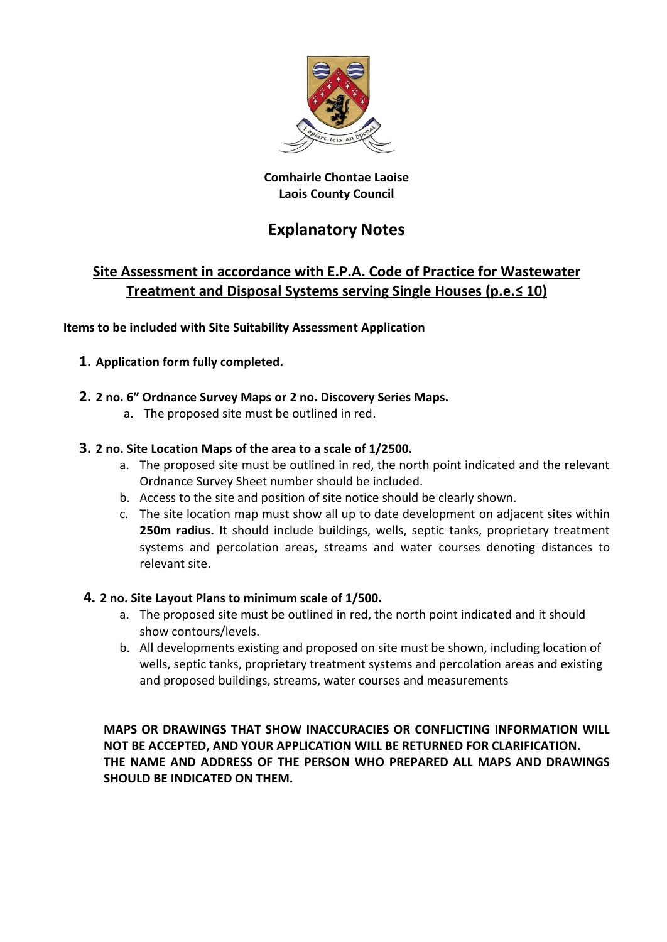

## **Comhairle Chontae Laoise Laois County Council**

## **Explanatory Notes**

## **Site Assessment in accordance with E.P.A. Code of Practice for Wastewater Treatment and Disposal Systems serving Single Houses (p.e.≤ 10)**

**Items to be included with Site Suitability Assessment Application**

## **1. Application form fully completed.**

## **2. 2 no. 6" Ordnance Survey Maps or 2 no. Discovery Series Maps.**

a. The proposed site must be outlined in red.

## **3. 2 no. Site Location Maps of the area to a scale of 1/2500.**

- a. The proposed site must be outlined in red, the north point indicated and the relevant Ordnance Survey Sheet number should be included.
- b. Access to the site and position of site notice should be clearly shown.
- c. The site location map must show all up to date development on adjacent sites within **250m radius.** It should include buildings, wells, septic tanks, proprietary treatment systems and percolation areas, streams and water courses denoting distances to relevant site.

## **4. 2 no. Site Layout Plans to minimum scale of 1/500.**

- a. The proposed site must be outlined in red, the north point indicated and it should show contours/levels.
- b. All developments existing and proposed on site must be shown, including location of wells, septic tanks, proprietary treatment systems and percolation areas and existing and proposed buildings, streams, water courses and measurements

**MAPS OR DRAWINGS THAT SHOW INACCURACIES OR CONFLICTING INFORMATION WILL NOT BE ACCEPTED, AND YOUR APPLICATION WILL BE RETURNED FOR CLARIFICATION. THE NAME AND ADDRESS OF THE PERSON WHO PREPARED ALL MAPS AND DRAWINGS SHOULD BE INDICATED ON THEM.**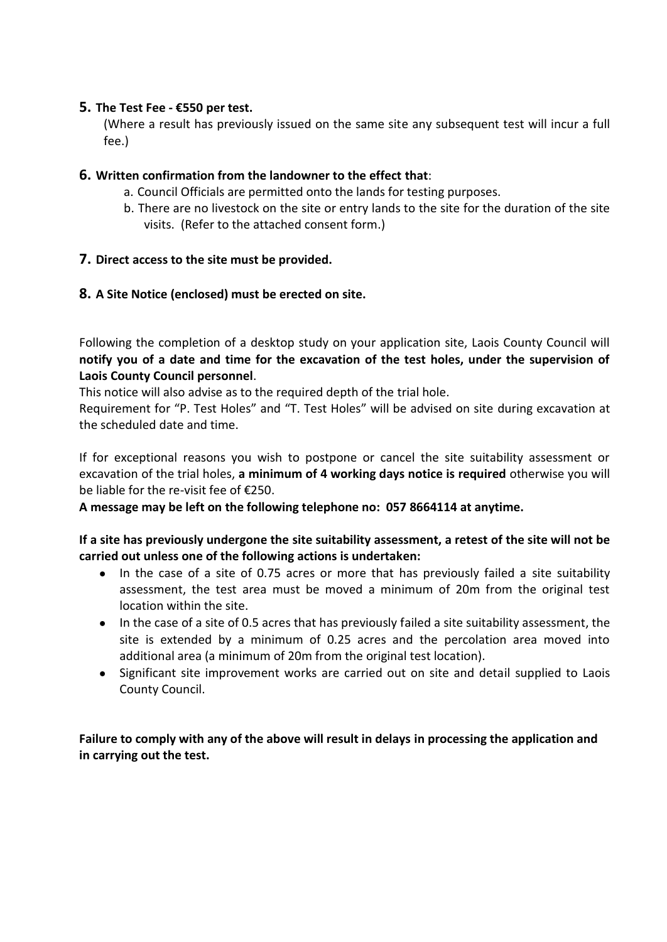### **5. The Test Fee - €550 per test.**

(Where a result has previously issued on the same site any subsequent test will incur a full fee.)

## **6. Written confirmation from the landowner to the effect that**:

- a. Council Officials are permitted onto the lands for testing purposes.
- b. There are no livestock on the site or entry lands to the site for the duration of the site visits. (Refer to the attached consent form.)

## **7. Direct access to the site must be provided.**

## **8. A Site Notice (enclosed) must be erected on site.**

Following the completion of a desktop study on your application site, Laois County Council will **notify you of a date and time for the excavation of the test holes, under the supervision of Laois County Council personnel**.

This notice will also advise as to the required depth of the trial hole.

Requirement for "P. Test Holes" and "T. Test Holes" will be advised on site during excavation at the scheduled date and time.

If for exceptional reasons you wish to postpone or cancel the site suitability assessment or excavation of the trial holes, **a minimum of 4 working days notice is required** otherwise you will be liable for the re-visit fee of €250.

**A message may be left on the following telephone no: 057 8664114 at anytime.**

### **If a site has previously undergone the site suitability assessment, a retest of the site will not be carried out unless one of the following actions is undertaken:**

- In the case of a site of 0.75 acres or more that has previously failed a site suitability assessment, the test area must be moved a minimum of 20m from the original test location within the site.
- In the case of a site of 0.5 acres that has previously failed a site suitability assessment, the site is extended by a minimum of 0.25 acres and the percolation area moved into additional area (a minimum of 20m from the original test location).
- Significant site improvement works are carried out on site and detail supplied to Laois County Council.

**Failure to comply with any of the above will result in delays in processing the application and in carrying out the test.**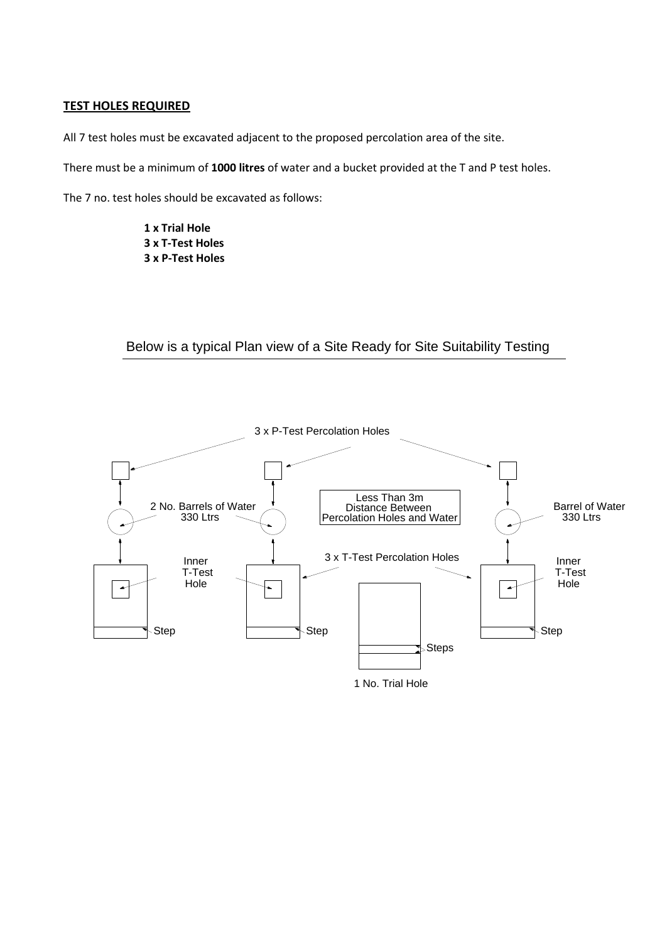#### **TEST HOLES REQUIRED**

All 7 test holes must be excavated adjacent to the proposed percolation area of the site.

There must be a minimum of **1000 litres** of water and a bucket provided at the T and P test holes.

The 7 no. test holes should be excavated as follows:

**1 x Trial Hole 3 x T-Test Holes 3 x P-Test Holes**

## Below is a typical Plan view of a Site Ready for Site Suitability Testing

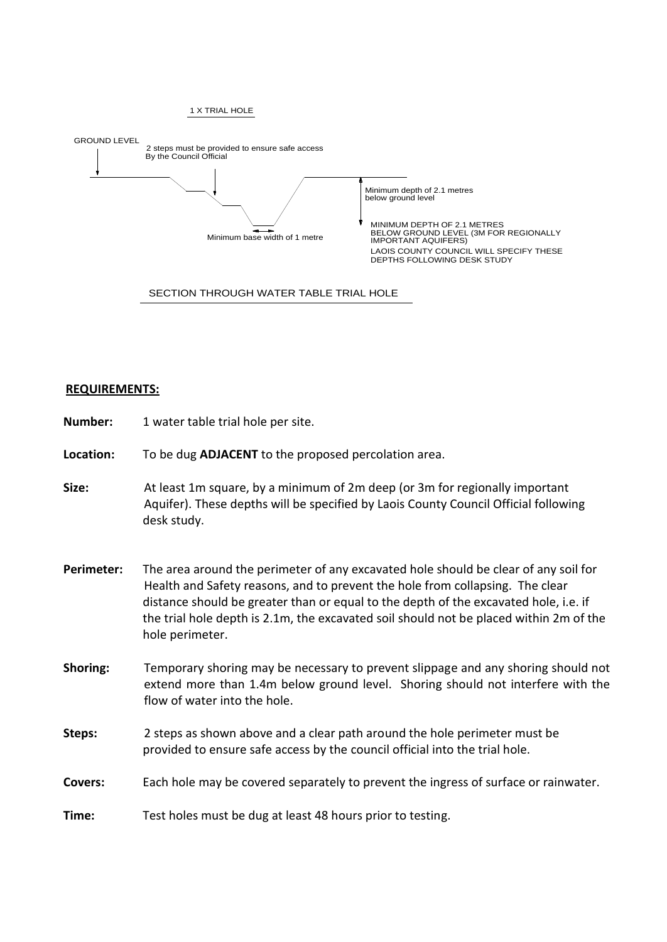

#### SECTION THROUGH WATER TABLE TRIAL HOLE

#### **REQUIREMENTS:**

| Number:        | 1 water table trial hole per site.                                                                                                                                                                                                                                                                                                                                        |
|----------------|---------------------------------------------------------------------------------------------------------------------------------------------------------------------------------------------------------------------------------------------------------------------------------------------------------------------------------------------------------------------------|
| Location:      | To be dug ADJACENT to the proposed percolation area.                                                                                                                                                                                                                                                                                                                      |
| Size:          | At least 1m square, by a minimum of 2m deep (or 3m for regionally important<br>Aquifer). These depths will be specified by Laois County Council Official following<br>desk study.                                                                                                                                                                                         |
| Perimeter:     | The area around the perimeter of any excavated hole should be clear of any soil for<br>Health and Safety reasons, and to prevent the hole from collapsing. The clear<br>distance should be greater than or equal to the depth of the excavated hole, i.e. if<br>the trial hole depth is 2.1m, the excavated soil should not be placed within 2m of the<br>hole perimeter. |
| Shoring:       | Temporary shoring may be necessary to prevent slippage and any shoring should not<br>extend more than 1.4m below ground level. Shoring should not interfere with the<br>flow of water into the hole.                                                                                                                                                                      |
| Steps:         | 2 steps as shown above and a clear path around the hole perimeter must be<br>provided to ensure safe access by the council official into the trial hole.                                                                                                                                                                                                                  |
| <b>Covers:</b> | Each hole may be covered separately to prevent the ingress of surface or rainwater.                                                                                                                                                                                                                                                                                       |
| Time:          | Test holes must be dug at least 48 hours prior to testing.                                                                                                                                                                                                                                                                                                                |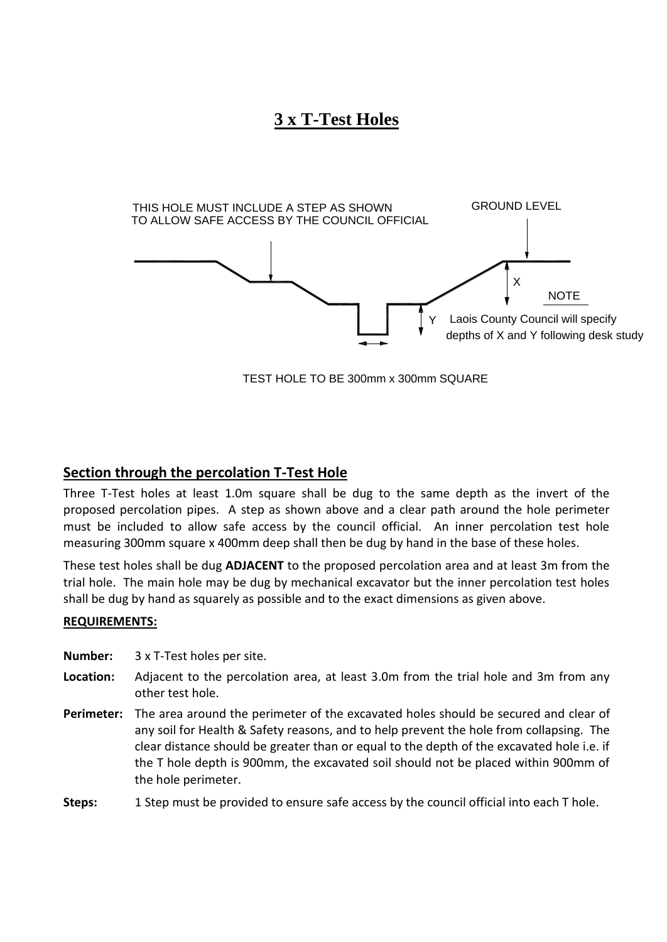## **3 x T-Test Holes**



TEST HOLE TO BE 300mm x 300mm SQUARE

## **Section through the percolation T-Test Hole**

Three T-Test holes at least 1.0m square shall be dug to the same depth as the invert of the proposed percolation pipes. A step as shown above and a clear path around the hole perimeter must be included to allow safe access by the council official. An inner percolation test hole measuring 300mm square x 400mm deep shall then be dug by hand in the base of these holes.

These test holes shall be dug **ADJACENT** to the proposed percolation area and at least 3m from the trial hole. The main hole may be dug by mechanical excavator but the inner percolation test holes shall be dug by hand as squarely as possible and to the exact dimensions as given above.

#### **REQUIREMENTS:**

**Number:** 3 x T-Test holes per site.

- **Location:** Adjacent to the percolation area, at least 3.0m from the trial hole and 3m from any other test hole.
- **Perimeter:** The area around the perimeter of the excavated holes should be secured and clear of any soil for Health & Safety reasons, and to help prevent the hole from collapsing. The clear distance should be greater than or equal to the depth of the excavated hole i.e. if the T hole depth is 900mm, the excavated soil should not be placed within 900mm of the hole perimeter.
- **Steps:** 1 Step must be provided to ensure safe access by the council official into each T hole.